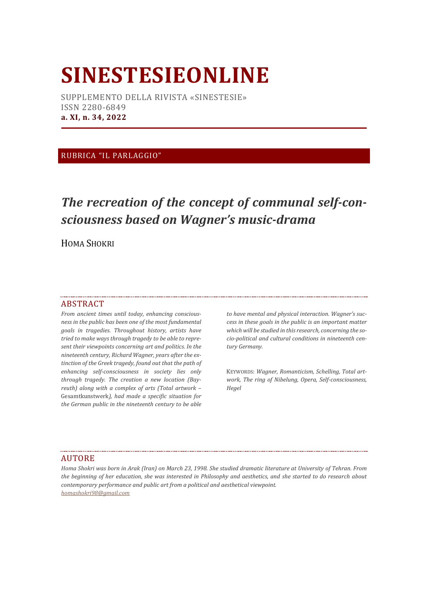# **SINESTESIEONLINE**

SUPPLEMENTO DELLA RIVISTA «SINESTESIE» ISSN 2280-6849 **a. XI, n. 34, 2022**

### RUBRICA "IL PARLAGGIO"

# *The recreation of the concept of communal self-consciousness based on Wagner's music-drama*

HOMA SHOKRI

#### ABSTRACT

*From ancient times until today, enhancing consciousness in the public has been one of the most fundamental goals in tragedies. Throughout history, artists have tried to make ways through tragedy to be able to represent their viewpoints concerning art and politics. In the nineteenth century, Richard Wagner, years after the extinction of the Greek tragedy, found out that the path of enhancing self-consciousness in society lies only through tragedy. The creation a new location (Bayreuth) along with a complex of arts (Total artwork –* Gesamtkunstwerk*), had made a specific situation for the German public in the nineteenth century to be able*

*to have mental and physical interaction. Wagner's success in these goals in the public is an important matter which will be studied in this research, concerning the socio-political and cultural conditions in nineteenth century Germany.*

KEYWORDS: *Wagner, Romanticism, Schelling, Total artwork, The ring of Nibelung, Opera, Self-consciousness, Hegel*

#### AUTORE

*Homa Shokri was born in Arak (Iran) on March 23, 1998. She studied dramatic literature at University of Tehran. From the beginning of her education, she was interested in Philosophy and aesthetics, and she started to do research about contemporary performance and public art from a political and aesthetical viewpoint. homashokri98@gmail.com*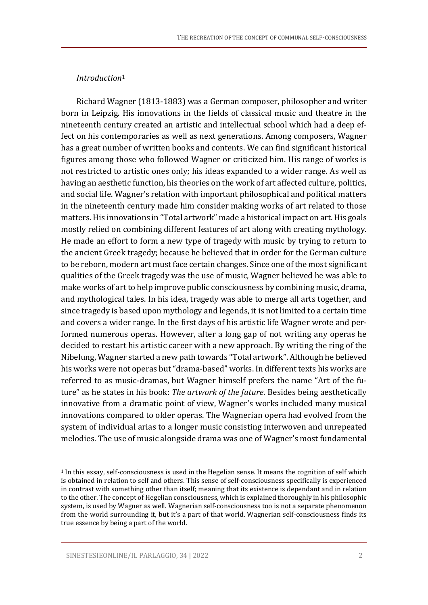## *Introduction*<sup>1</sup>

Richard Wagner (1813-1883) was a German composer, philosopher and writer born in Leipzig. His innovations in the fields of classical music and theatre in the nineteenth century created an artistic and intellectual school which had a deep effect on his contemporaries as well as next generations. Among composers, Wagner has a great number of written books and contents. We can find significant historical figures among those who followed Wagner or criticized him. His range of works is not restricted to artistic ones only; his ideas expanded to a wider range. As well as having an aesthetic function, his theories on the work of art affected culture, politics, and social life. Wagner's relation with important philosophical and political matters in the nineteenth century made him consider making works of art related to those matters. His innovations in "Total artwork" made a historical impact on art. His goals mostly relied on combining different features of art along with creating mythology. He made an effort to form a new type of tragedy with music by trying to return to the ancient Greek tragedy; because he believed that in order for the German culture to be reborn, modern art must face certain changes. Since one of the most significant qualities of the Greek tragedy was the use of music, Wagner believed he was able to make works of art to help improve public consciousness by combining music, drama, and mythological tales. In his idea, tragedy was able to merge all arts together, and since tragedy is based upon mythology and legends, it is not limited to a certain time and covers a wider range. In the first days of his artistic life Wagner wrote and performed numerous operas. However, after a long gap of not writing any operas he decided to restart his artistic career with a new approach. By writing the ring of the Nibelung, Wagner started a new path towards "Total artwork". Although he believed his works were not operas but"drama-based" works. In different texts his works are referred to as music-dramas, but Wagner himself prefers the name "Art of the future" as he states in his book: *The artwork of the future*. Besides being aesthetically innovative from a dramatic point of view, Wagner's works included many musical innovations compared to older operas. The Wagnerian opera had evolved from the system of individual arias to a longer music consisting interwoven and unrepeated melodies. The use of music alongside drama was one of Wagner's most fundamental

<sup>1</sup> In this essay, self-consciousness is used in the Hegelian sense. It means the cognition of self which is obtained in relation to self and others. This sense of self-consciousness specifically is experienced in contrast with something other than itself; meaning that its existence is dependant and in relation to the other. The concept of Hegelian consciousness, which is explained thoroughly in his philosophic system, is used by Wagner as well. Wagnerian self-consciousness too is not a separate phenomenon from the world surrounding it, but it's a part of that world. Wagnerian self-consciousness finds its true essence by being a part of the world.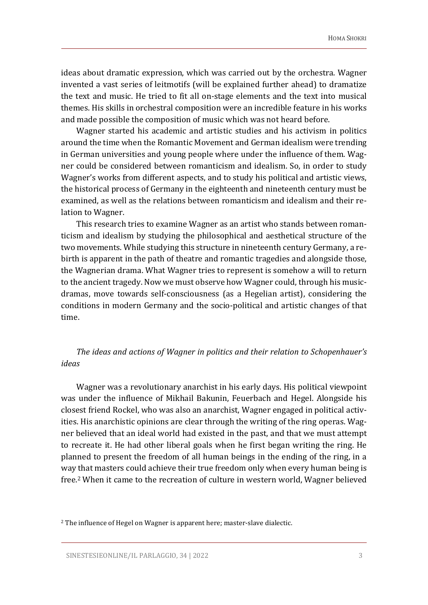ideas about dramatic expression, which was carried out by the orchestra. Wagner invented a vast series of leitmotifs (will be explained further ahead) to dramatize the text and music. He tried to fit all on-stage elements and the text into musical themes. His skills in orchestral composition were an incredible feature in his works and made possible the composition of music which was not heard before.

Wagner started his academic and artistic studies and his activism in politics around the time when the Romantic Movement and German idealism were trending in German universities and young people where under the influence of them. Wagner could be considered between romanticism and idealism. So, in order to study Wagner's works from different aspects, and to study his political and artistic views, the historical process of Germany in the eighteenth and nineteenth century must be examined, as well as the relations between romanticism and idealism and their relation to Wagner.

This research tries to examine Wagner as an artist who stands between romanticism and idealism by studying the philosophical and aesthetical structure of the two movements. While studying this structure in nineteenth century Germany, a rebirth is apparent in the path of theatre and romantic tragedies and alongside those, the Wagnerian drama. What Wagner tries to represent is somehow a will to return to the ancient tragedy. Now we must observe how Wagner could, through his musicdramas, move towards self-consciousness (as a Hegelian artist), considering the conditions in modern Germany and the socio-political and artistic changes of that time.

# *The ideas and actions of Wagner in politics and their relation to Schopenhauer's ideas*

Wagner was a revolutionary anarchist in his early days. His political viewpoint was under the influence of Mikhail Bakunin, Feuerbach and Hegel. Alongside his closest friend Rockel, who was also an anarchist, Wagner engaged in political activities. His anarchistic opinions are clear through the writing of the ring operas. Wagner believed that an ideal world had existed in the past, and that we must attempt to recreate it. He had other liberal goals when he first began writing the ring. He planned to present the freedom of all human beings in the ending of the ring, in a way that masters could achieve their true freedom only when every human being is free. <sup>2</sup> When it came to the recreation of culture in western world, Wagner believed

<sup>&</sup>lt;sup>2</sup> The influence of Hegel on Wagner is apparent here; master-slave dialectic.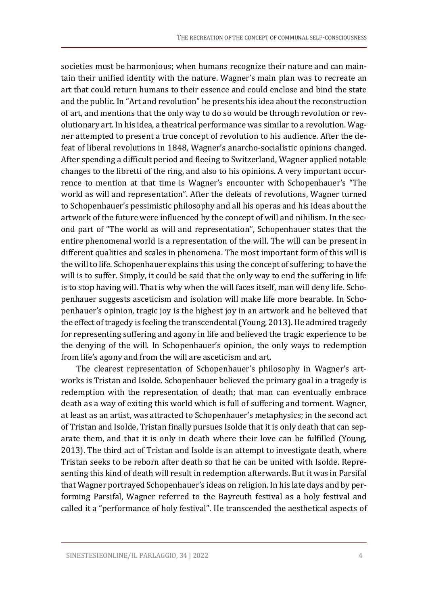societies must be harmonious; when humans recognize their nature and can maintain their unified identity with the nature. Wagner's main plan was to recreate an art that could return humans to their essence and could enclose and bind the state and the public. In "Art and revolution" he presents his idea about the reconstruction of art, and mentions that the only way to do so would be through revolution or revolutionary art. In his idea, a theatrical performance was similar to a revolution. Wagner attempted to present a true concept of revolution to his audience. After the defeat of liberal revolutions in 1848, Wagner's anarcho-socialistic opinions changed. After spending a difficult period and fleeing to Switzerland, Wagner applied notable changes to the libretti of the ring, and also to his opinions. A very important occurrence to mention at that time is Wagner's encounter with Schopenhauer's "The world as will and representation". After the defeats of revolutions, Wagner turned to Schopenhauer's pessimistic philosophy and all his operas and his ideas about the artwork of the future were influenced by the concept of will and nihilism. In the second part of "The world as will and representation", Schopenhauer states that the entire phenomenal world is a representation of the will. The will can be present in different qualities and scales in phenomena. The most important form of this will is the will to life.Schopenhauer explains this using the concept of suffering; to have the will is to suffer. Simply, it could be said that the only way to end the suffering in life is to stop having will. That is why when the will faces itself, man will deny life. Schopenhauer suggests asceticism and isolation will make life more bearable. In Schopenhauer's opinion, tragic joy is the highest joy in an artwork and he believed that the effect of tragedy is feeling the transcendental (Young, 2013). He admired tragedy for representing suffering and agony in life and believed the tragic experience to be the denying of the will. In Schopenhauer's opinion, the only ways to redemption from life's agony and from the will are asceticism and art.

The clearest representation of Schopenhauer's philosophy in Wagner's artworks is Tristan and Isolde. Schopenhauer believed the primary goal in a tragedy is redemption with the representation of death; that man can eventually embrace death as a way of exiting this world which is full of suffering and torment. Wagner, at least as an artist, was attracted to Schopenhauer's metaphysics; in the second act of Tristan and Isolde, Tristan finally pursues Isolde that it is only death that can separate them, and that it is only in death where their love can be fulfilled (Young, 2013). The third act of Tristan and Isolde is an attempt to investigate death, where Tristan seeks to be reborn after death so that he can be united with Isolde. Representing this kind of death will result in redemption afterwards. But it was in Parsifal that Wagner portrayed Schopenhauer's ideas on religion. In his late days and by performing Parsifal, Wagner referred to the Bayreuth festival as a holy festival and called it a "performance of holy festival". He transcended the aesthetical aspects of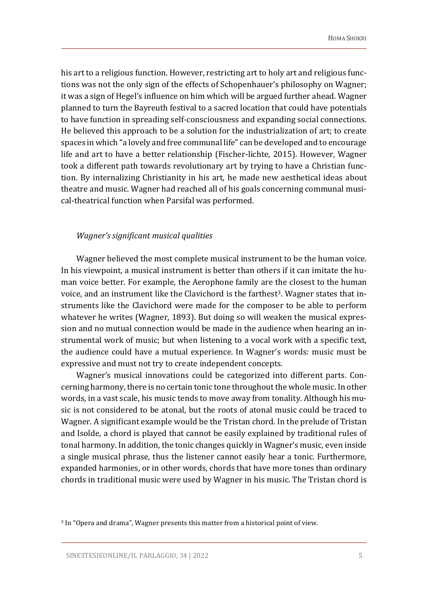his art to a religious function. However, restricting art to holy art and religious functions was not the only sign of the effects of Schopenhauer's philosophy on Wagner; it was a sign of Hegel's influence on him which will be argued further ahead. Wagner planned to turn the Bayreuth festival to a sacred location that could have potentials to have function in spreading self-consciousness and expanding social connections. He believed this approach to be a solution for the industrialization of art; to create spaces in which "a lovely and free communal life" can be developed and to encourage life and art to have a better relationship (Fischer-lichte, 2015). However, Wagner took a different path towards revolutionary art by trying to have a Christian function. By internalizing Christianity in his art, he made new aesthetical ideas about theatre and music. Wagner had reached all of his goals concerning communal musical-theatrical function when Parsifal was performed.

#### *Wagner's significant musical qualities*

Wagner believed the most complete musical instrument to be the human voice. In his viewpoint, a musical instrument is better than others if it can imitate the human voice better. For example, the Aerophone family are the closest to the human voice, and an instrument like the Clavichord is the farthest<sup>3</sup>. Wagner states that instruments like the Clavichord were made for the composer to be able to perform whatever he writes (Wagner, 1893). But doing so will weaken the musical expression and no mutual connection would be made in the audience when hearing an instrumental work of music; but when listening to a vocal work with a specific text, the audience could have a mutual experience. In Wagner's words: music must be expressive and must not try to create independent concepts.

Wagner's musical innovations could be categorized into different parts. Concerning harmony, there is no certain tonic tone throughout the whole music. In other words, in a vast scale, his music tends to move away from tonality. Although his music is not considered to be atonal, but the roots of atonal music could be traced to Wagner. A significant example would be the Tristan chord. In the prelude of Tristan and Isolde, a chord is played that cannot be easily explained by traditional rules of tonal harmony. In addition, the tonic changes quickly in Wagner's music, even inside a single musical phrase, thus the listener cannot easily hear a tonic. Furthermore, expanded harmonies, or in other words, chords that have more tones than ordinary chords in traditional music were used by Wagner in his music. The Tristan chord is

<sup>3</sup> In "Opera and drama", Wagner presents this matter from a historical point of view.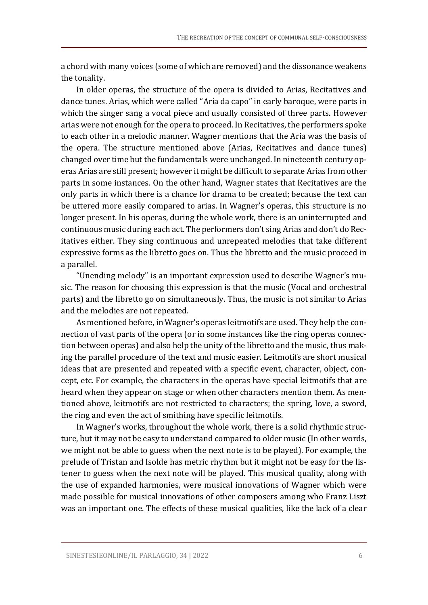a chord with many voices (some of which are removed) and the dissonance weakens the tonality.

In older operas, the structure of the opera is divided to Arias, Recitatives and dance tunes. Arias, which were called "Aria da capo" in early baroque, were parts in which the singer sang a vocal piece and usually consisted of three parts. However arias were not enough for the opera to proceed. In Recitatives, the performers spoke to each other in a melodic manner. Wagner mentions that the Aria was the basis of the opera. The structure mentioned above (Arias, Recitatives and dance tunes) changed over time but the fundamentals were unchanged. In nineteenth century operas Arias are still present; however it might be difficult to separate Arias from other parts in some instances. On the other hand, Wagner states that Recitatives are the only parts in which there is a chance for drama to be created; because the text can be uttered more easily compared to arias. In Wagner's operas, this structure is no longer present. In his operas, during the whole work, there is an uninterrupted and continuous music during each act. The performers don't sing Arias and don't do Recitatives either. They sing continuous and unrepeated melodies that take different expressive forms as the libretto goes on. Thus the libretto and the music proceed in a parallel.

"Unending melody" is an important expression used to describe Wagner's music. The reason for choosing this expression is that the music (Vocal and orchestral parts) and the libretto go on simultaneously. Thus, the music is not similar to Arias and the melodies are not repeated.

As mentioned before, in Wagner's operas leitmotifs are used. They help the connection of vast parts of the opera (or in some instances like the ring operas connection between operas) and also help the unity of the libretto and the music, thus making the parallel procedure of the text and music easier. Leitmotifs are short musical ideas that are presented and repeated with a specific event, character, object, concept, etc. For example, the characters in the operas have special leitmotifs that are heard when they appear on stage or when other characters mention them. As mentioned above, leitmotifs are not restricted to characters; the spring, love, a sword, the ring and even the act of smithing have specific leitmotifs.

In Wagner's works, throughout the whole work, there is a solid rhythmic structure, but it may not be easy to understand compared to older music (In other words, we might not be able to guess when the next note is to be played). For example, the prelude of Tristan and Isolde has metric rhythm but it might not be easy for the listener to guess when the next note will be played. This musical quality, along with the use of expanded harmonies, were musical innovations of Wagner which were made possible for musical innovations of other composers among who Franz Liszt was an important one. The effects of these musical qualities, like the lack of a clear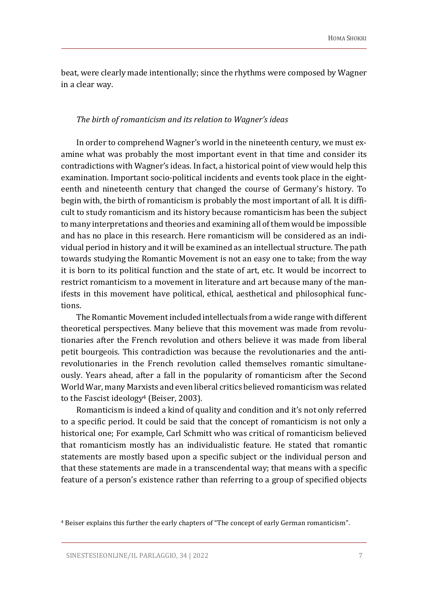beat, were clearly made intentionally; since the rhythms were composed by Wagner in a clear way.

#### *The birth of romanticism and its relation to Wagner's ideas*

In order to comprehend Wagner's world in the nineteenth century, we must examine what was probably the most important event in that time and consider its contradictions with Wagner's ideas. In fact, a historical point of view would help this examination. Important socio-political incidents and events took place in the eighteenth and nineteenth century that changed the course of Germany's history. To begin with, the birth of romanticism is probably the most important of all. It is difficult to study romanticism and its history because romanticism has been the subject to many interpretations and theories and examining all ofthem would be impossible and has no place in this research. Here romanticism will be considered as an individual period in history and it will be examined as an intellectual structure. The path towards studying the Romantic Movement is not an easy one to take; from the way it is born to its political function and the state of art, etc. It would be incorrect to restrict romanticism to a movement in literature and art because many of the manifests in this movement have political, ethical, aesthetical and philosophical functions.

The Romantic Movement included intellectuals from a wide range with different theoretical perspectives. Many believe that this movement was made from revolutionaries after the French revolution and others believe it was made from liberal petit bourgeois. This contradiction was because the revolutionaries and the antirevolutionaries in the French revolution called themselves romantic simultaneously. Years ahead, after a fall in the popularity of romanticism after the Second World War, many Marxists and even liberal critics believed romanticism was related to the Fascist ideology<sup>4</sup> (Beiser, 2003).

Romanticism is indeed a kind of quality and condition and it's not only referred to a specific period. It could be said that the concept of romanticism is not only a historical one; For example, Carl Schmitt who was critical of romanticism believed that romanticism mostly has an individualistic feature. He stated that romantic statements are mostly based upon a specific subject or the individual person and that these statements are made in a transcendental way; that means with a specific feature of a person's existence rather than referring to a group of specified objects

<sup>4</sup> Beiser explains this further the early chapters of "The concept of early German romanticism".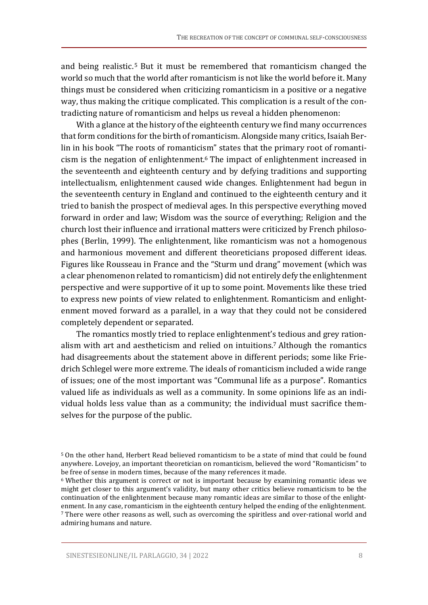and being realistic. <sup>5</sup> But it must be remembered that romanticism changed the world so much that the world after romanticism is not like the world before it. Many things must be considered when criticizing romanticism in a positive or a negative way, thus making the critique complicated. This complication is a result of the contradicting nature of romanticism and helps us reveal a hidden phenomenon:

With a glance at the history of the eighteenth century we find many occurrences that form conditions for the birth of romanticism. Alongside many critics, Isaiah Berlin in his book "The roots of romanticism" states that the primary root of romanticism is the negation of enlightenment. <sup>6</sup> The impact of enlightenment increased in the seventeenth and eighteenth century and by defying traditions and supporting intellectualism, enlightenment caused wide changes. Enlightenment had begun in the seventeenth century in England and continued to the eighteenth century and it tried to banish the prospect of medieval ages. In this perspective everything moved forward in order and law; Wisdom was the source of everything; Religion and the church lost their influence and irrational matters were criticized by French philosophes (Berlin, 1999). The enlightenment, like romanticism was not a homogenous and harmonious movement and different theoreticians proposed different ideas. Figures like Rousseau in France and the "Sturm und drang" movement (which was a clear phenomenon related to romanticism) did not entirely defy the enlightenment perspective and were supportive of it up to some point. Movements like these tried to express new points of view related to enlightenment. Romanticism and enlightenment moved forward as a parallel, in a way that they could not be considered completely dependent or separated.

The romantics mostly tried to replace enlightenment's tedious and grey rationalism with art and aestheticism and relied on intuitions. <sup>7</sup> Although the romantics had disagreements about the statement above in different periods; some like Friedrich Schlegel were more extreme. The ideals of romanticism included a wide range of issues; one of the most important was "Communal life as a purpose". Romantics valued life as individuals as well as a community. In some opinions life as an individual holds less value than as a community; the individual must sacrifice themselves for the purpose of the public.

<sup>5</sup> On the other hand, Herbert Read believed romanticism to be a state of mind that could be found anywhere. Lovejoy, an important theoretician on romanticism, believed the word "Romanticism" to be free of sense in modern times, because of the many references it made.

<sup>6</sup> Whether this argument is correct or not is important because by examining romantic ideas we might get closer to this argument's validity, but many other critics believe romanticism to be the continuation of the enlightenment because many romantic ideas are similar to those of the enlightenment. In any case, romanticism in the eighteenth century helped the ending of the enlightenment. <sup>7</sup> There were other reasons as well, such as overcoming the spiritless and over-rational world and admiring humans and nature.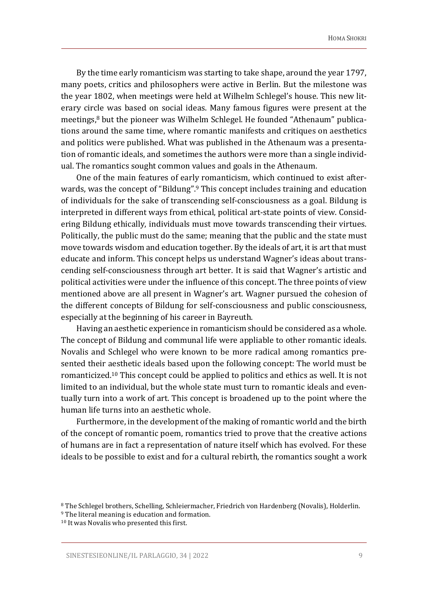By the time early romanticism was starting to take shape, around the year 1797, many poets, critics and philosophers were active in Berlin. But the milestone was the year 1802, when meetings were held at Wilhelm Schlegel's house. This new literary circle was based on social ideas. Many famous figures were present at the meetings, <sup>8</sup> but the pioneer was Wilhelm Schlegel. He founded "Athenaum" publications around the same time, where romantic manifests and critiques on aesthetics and politics were published. What was published in the Athenaum was a presentation of romantic ideals, and sometimes the authors were more than a single individual. The romantics sought common values and goals in the Athenaum.

One of the main features of early romanticism, which continued to exist afterwards, was the concept of "Bildung".<sup>9</sup> This concept includes training and education of individuals for the sake of transcending self-consciousness as a goal. Bildung is interpreted in different ways from ethical, political art-state points of view. Considering Bildung ethically, individuals must move towards transcending their virtues. Politically, the public must do the same; meaning that the public and the state must move towards wisdom and education together. By the ideals of art, it is art that must educate and inform. This concept helps us understand Wagner's ideas about transcending self-consciousness through art better. It is said that Wagner's artistic and political activities were under the influence of this concept. The three points of view mentioned above are all present in Wagner's art. Wagner pursued the cohesion of the different concepts of Bildung for self-consciousness and public consciousness, especially at the beginning of his career in Bayreuth.

Having an aesthetic experience in romanticism should be considered as a whole. The concept of Bildung and communal life were appliable to other romantic ideals. Novalis and Schlegel who were known to be more radical among romantics presented their aesthetic ideals based upon the following concept: The world must be romanticized. <sup>10</sup> This concept could be applied to politics and ethics as well. It is not limited to an individual, but the whole state must turn to romantic ideals and eventually turn into a work of art. This concept is broadened up to the point where the human life turns into an aesthetic whole.

Furthermore, in the development of the making of romantic world and the birth of the concept of romantic poem, romantics tried to prove that the creative actions of humans are in fact a representation of nature itself which has evolved. For these ideals to be possible to exist and for a cultural rebirth, the romantics sought a work

<sup>8</sup> The Schlegel brothers, Schelling, Schleiermacher, Friedrich von Hardenberg (Novalis), Holderlin.

<sup>9</sup> The literal meaning is education and formation.

<sup>10</sup> It was Novalis who presented this first.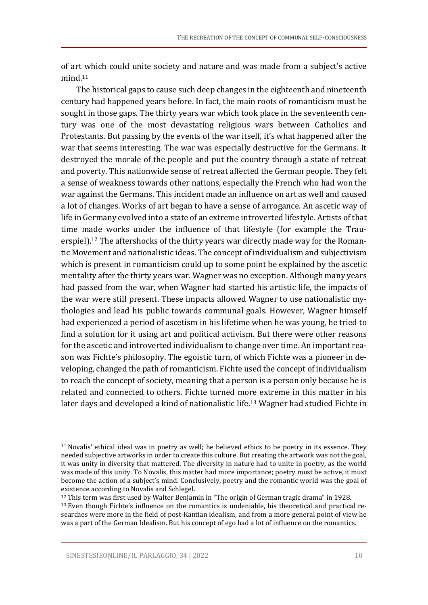of art which could unite society and nature and was made from a subject's active mind. 11

The historical gaps to cause such deep changes in the eighteenth and nineteenth century had happened years before. In fact, the main roots of romanticism must be sought in those gaps. The thirty years war which took place in the seventeenth century was one of the most devastating religious wars between Catholics and Protestants. But passing by the events of the war itself, it's what happened after the war that seems interesting. The war was especially destructive for the Germans. It destroyed the morale of the people and put the country through a state of retreat and poverty. This nationwide sense of retreat affected the German people. They felt a sense of weakness towards other nations, especially the French who had won the war against the Germans. This incident made an influence on art as well and caused a lot of changes. Works of art began to have a sense of arrogance. An ascetic way of life in Germany evolved into a state of an extreme introverted lifestyle. Artists of that time made works under the influence of that lifestyle (for example the Trauerspiel).<sup>12</sup> The aftershocks of the thirty years war directly made way for the Romantic Movement and nationalistic ideas. The concept of individualism and subjectivism which is present in romanticism could up to some point be explained by the ascetic mentality after the thirty years war. Wagner was no exception. Although many years had passed from the war, when Wagner had started his artistic life, the impacts of the war were still present. These impacts allowed Wagner to use nationalistic mythologies and lead his public towards communal goals. However, Wagner himself had experienced a period of ascetism in his lifetime when he was young, he tried to find a solution for it using art and political activism. But there were other reasons for the ascetic and introverted individualism to change over time. An important reason was Fichte's philosophy. The egoistic turn, of which Fichte was a pioneer in developing, changed the path of romanticism. Fichte used the concept of individualism to reach the concept of society, meaning that a person is a person only because he is related and connected to others. Fichte turned more extreme in this matter in his later days and developed a kind of nationalistic life. <sup>13</sup> Wagner had studied Fichte in

<sup>12</sup> This term was first used by Walter Benjamin in "The origin of German tragic drama" in 1928.

<sup>13</sup> Even though Fichte's influence on the romantics is undeniable, his theoretical and practical researches were more in the field of post-Kantian idealism, and from a more general point of view he was a part of the German Idealism. But his concept of ego had a lot of influence on the romantics.

<sup>11</sup> Novalis' ethical ideal was in poetry as well; he believed ethics to be poetry in its essence. They needed subjective artworks in order to create this culture. But creating the artwork was not the goal, it was unity in diversity that mattered. The diversity in nature had to unite in poetry, as the world was made of this unity. To Novalis, this matter had more importance; poetry must be active, it must become the action of a subject's mind. Conclusively, poetry and the romantic world was the goal of existence according to Novalis and Schlegel.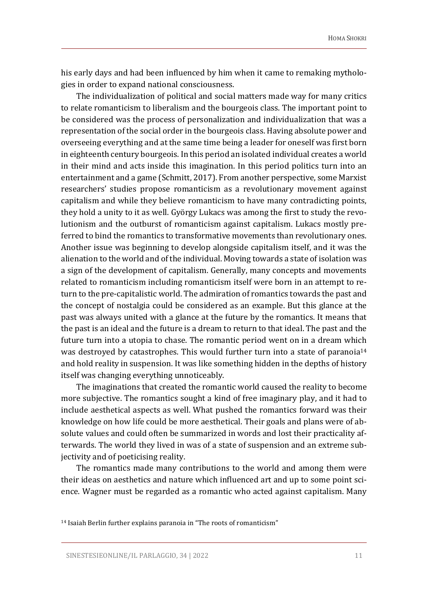his early days and had been influenced by him when it came to remaking mythologies in order to expand national consciousness.

The individualization of political and social matters made way for many critics to relate romanticism to liberalism and the bourgeois class. The important point to be considered was the process of personalization and individualization that was a representation of the social order in the bourgeois class. Having absolute power and overseeing everything and at the same time being a leader for oneself was first born in eighteenth century bourgeois. In this period an isolated individual creates a world in their mind and acts inside this imagination. In this period politics turn into an entertainment and a game (Schmitt, 2017). From another perspective, some Marxist researchers' studies propose romanticism as a revolutionary movement against capitalism and while they believe romanticism to have many contradicting points, they hold a unity to it as well. György Lukacs was among the first to study the revolutionism and the outburst of romanticism against capitalism. Lukacs mostly preferred to bind the romantics to transformative movements than revolutionary ones. Another issue was beginning to develop alongside capitalism itself, and it was the alienation to the world and of the individual. Moving towards a state of isolation was a sign of the development of capitalism. Generally, many concepts and movements related to romanticism including romanticism itself were born in an attempt to return to the pre-capitalistic world. The admiration of romantics towards the past and the concept of nostalgia could be considered as an example. But this glance at the past was always united with a glance at the future by the romantics. It means that the past is an ideal and the future is a dream to return to that ideal. The past and the future turn into a utopia to chase. The romantic period went on in a dream which was destroyed by catastrophes. This would further turn into a state of paranoia<sup>14</sup> and hold reality in suspension. It was like something hidden in the depths of history itself was changing everything unnoticeably.

The imaginations that created the romantic world caused the reality to become more subjective. The romantics sought a kind of free imaginary play, and it had to include aesthetical aspects as well. What pushed the romantics forward was their knowledge on how life could be more aesthetical. Their goals and plans were of absolute values and could often be summarized in words and lost their practicality afterwards. The world they lived in was of a state of suspension and an extreme subjectivity and of poeticising reality.

The romantics made many contributions to the world and among them were their ideas on aesthetics and nature which influenced art and up to some point science. Wagner must be regarded as a romantic who acted against capitalism. Many

<sup>14</sup> Isaiah Berlin further explains paranoia in "The roots of romanticism"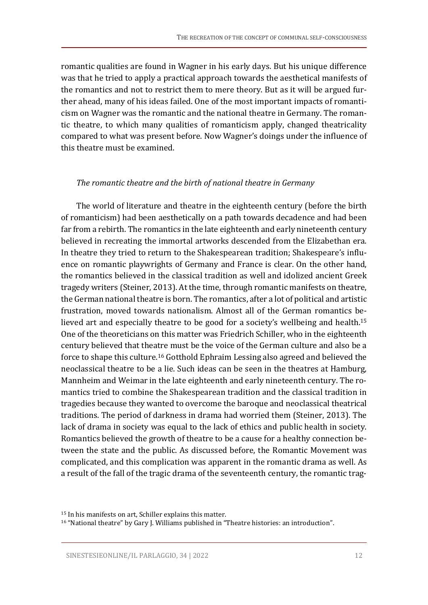romantic qualities are found in Wagner in his early days. But his unique difference was that he tried to apply a practical approach towards the aesthetical manifests of the romantics and not to restrict them to mere theory. But as it will be argued further ahead, many of his ideas failed. One of the most important impacts of romanticism on Wagner was the romantic and the national theatre in Germany. The romantic theatre, to which many qualities of romanticism apply, changed theatricality compared to what was present before. Now Wagner's doings under the influence of this theatre must be examined.

#### *The romantic theatre and the birth of national theatre in Germany*

The world of literature and theatre in the eighteenth century (before the birth of romanticism) had been aesthetically on a path towards decadence and had been far from a rebirth. The romantics in the late eighteenth and early nineteenth century believed in recreating the immortal artworks descended from the Elizabethan era. In theatre they tried to return to the Shakespearean tradition; Shakespeare's influence on romantic playwrights of Germany and France is clear. On the other hand, the romantics believed in the classical tradition as well and idolized ancient Greek tragedy writers (Steiner, 2013). At the time, through romantic manifests on theatre, the German national theatre is born. The romantics, after a lot of political and artistic frustration, moved towards nationalism. Almost all of the German romantics believed art and especially theatre to be good for a society's wellbeing and health. 15 One of the theoreticians on this matter was Friedrich Schiller, who in the eighteenth century believed that theatre must be the voice of the German culture and also be a force to shape this culture.<sup>16</sup> Gotthold Ephraim Lessing also agreed and believed the neoclassical theatre to be a lie. Such ideas can be seen in the theatres at Hamburg, Mannheim and Weimar in the late eighteenth and early nineteenth century. The romantics tried to combine the Shakespearean tradition and the classical tradition in tragedies because they wanted to overcome the baroque and neoclassical theatrical traditions. The period of darkness in drama had worried them (Steiner, 2013). The lack of drama in society was equal to the lack of ethics and public health in society. Romantics believed the growth of theatre to be a cause for a healthy connection between the state and the public. As discussed before, the Romantic Movement was complicated, and this complication was apparent in the romantic drama as well. As a result of the fall of the tragic drama of the seventeenth century, the romantic trag-

<sup>15</sup> In his manifests on art, Schiller explains this matter.

<sup>16</sup> "National theatre" by Gary J. Williams published in "Theatre histories: an introduction".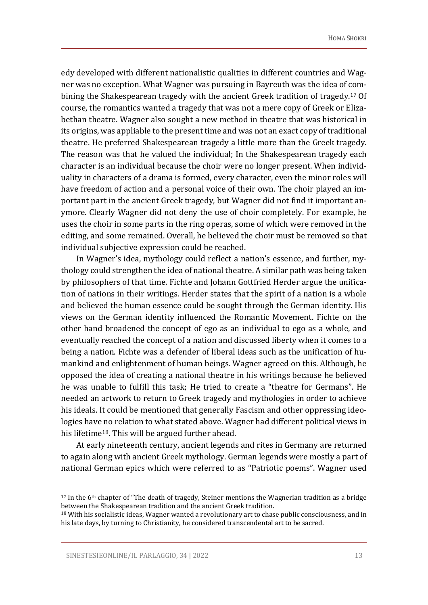edy developed with different nationalistic qualities in different countries and Wagner was no exception. What Wagner was pursuing in Bayreuth was the idea of combining the Shakespearean tragedy with the ancient Greek tradition of tragedy. <sup>17</sup> Of course, the romantics wanted a tragedy that was not a mere copy of Greek or Elizabethan theatre. Wagner also sought a new method in theatre that was historical in its origins, was appliable to the present time and was not an exact copy of traditional theatre. He preferred Shakespearean tragedy a little more than the Greek tragedy. The reason was that he valued the individual; In the Shakespearean tragedy each character is an individual because the choir were no longer present. When individuality in characters of a drama is formed, every character, even the minor roles will have freedom of action and a personal voice of their own. The choir played an important part in the ancient Greek tragedy, but Wagner did not find it important anymore. Clearly Wagner did not deny the use of choir completely. For example, he uses the choir in some parts in the ring operas, some of which were removed in the editing, and some remained. Overall, he believed the choir must be removed so that individual subjective expression could be reached.

In Wagner's idea, mythology could reflect a nation's essence, and further, mythology could strengthen the idea of national theatre. A similar path was being taken by philosophers of that time. Fichte and Johann Gottfried Herder argue the unification of nations in their writings. Herder states that the spirit of a nation is a whole and believed the human essence could be sought through the German identity. His views on the German identity influenced the Romantic Movement. Fichte on the other hand broadened the concept of ego as an individual to ego as a whole, and eventually reached the concept of a nation and discussed liberty when it comes to a being a nation. Fichte was a defender of liberal ideas such as the unification of humankind and enlightenment of human beings. Wagner agreed on this. Although, he opposed the idea of creating a national theatre in his writings because he believed he was unable to fulfill this task; He tried to create a "theatre for Germans". He needed an artwork to return to Greek tragedy and mythologies in order to achieve his ideals. It could be mentioned that generally Fascism and other oppressing ideologies have no relation to what stated above. Wagner had different political views in his lifetime<sup>18</sup>. This will be argued further ahead.

At early nineteenth century, ancient legends and rites in Germany are returned to again along with ancient Greek mythology. German legends were mostly a part of national German epics which were referred to as "Patriotic poems". Wagner used

 $17$  In the 6<sup>th</sup> chapter of "The death of tragedy, Steiner mentions the Wagnerian tradition as a bridge between the Shakespearean tradition and the ancient Greek tradition.

<sup>&</sup>lt;sup>18</sup> With his socialistic ideas, Wagner wanted a revolutionary art to chase public consciousness, and in his late days, by turning to Christianity, he considered transcendental art to be sacred.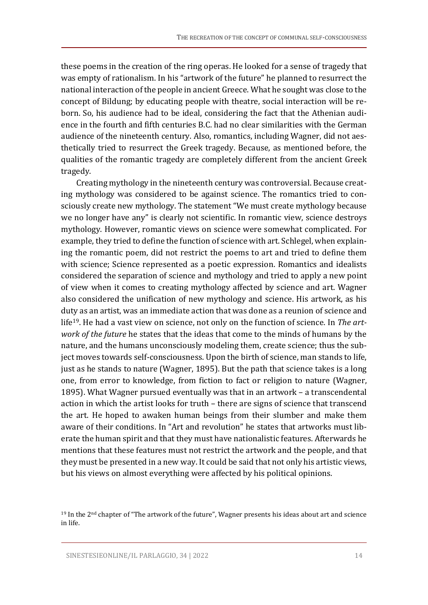these poems in the creation of the ring operas. He looked for a sense of tragedy that was empty of rationalism. In his "artwork of the future" he planned to resurrect the national interaction of the people in ancient Greece. What he sought was close to the concept of Bildung; by educating people with theatre, social interaction will be reborn. So, his audience had to be ideal, considering the fact that the Athenian audience in the fourth and fifth centuries B.C. had no clear similarities with the German audience of the nineteenth century. Also, romantics, including Wagner, did not aesthetically tried to resurrect the Greek tragedy. Because, as mentioned before, the qualities of the romantic tragedy are completely different from the ancient Greek tragedy.

Creating mythology in the nineteenth century was controversial. Because creating mythology was considered to be against science. The romantics tried to consciously create new mythology. The statement "We must create mythology because we no longer have any" is clearly not scientific. In romantic view, science destroys mythology. However, romantic views on science were somewhat complicated. For example, they tried to define the function of science with art. Schlegel, when explaining the romantic poem, did not restrict the poems to art and tried to define them with science; Science represented as a poetic expression. Romantics and idealists considered the separation of science and mythology and tried to apply a new point of view when it comes to creating mythology affected by science and art. Wagner also considered the unification of new mythology and science. His artwork, as his duty as an artist, was an immediate action that was done as a reunion of science and life19. He had a vast view on science, not only on the function of science. In *The artwork of the future* he states that the ideas that come to the minds of humans by the nature, and the humans unconsciously modeling them, create science; thus the subject moves towards self-consciousness. Upon the birth of science, man stands to life, just as he stands to nature (Wagner, 1895). But the path that science takes is a long one, from error to knowledge, from fiction to fact or religion to nature (Wagner, 1895). What Wagner pursued eventually was that in an artwork – a transcendental action in which the artist looks for truth – there are signs of science that transcend the art. He hoped to awaken human beings from their slumber and make them aware of their conditions. In "Art and revolution" he states that artworks must liberate the human spirit and that they must have nationalistic features. Afterwards he mentions that these features must not restrict the artwork and the people, and that they must be presented in a new way. It could be said that not only his artistic views, but his views on almost everything were affected by his political opinions.

<sup>19</sup> In the 2nd chapter of "The artwork of the future", Wagner presents his ideas about art and science in life.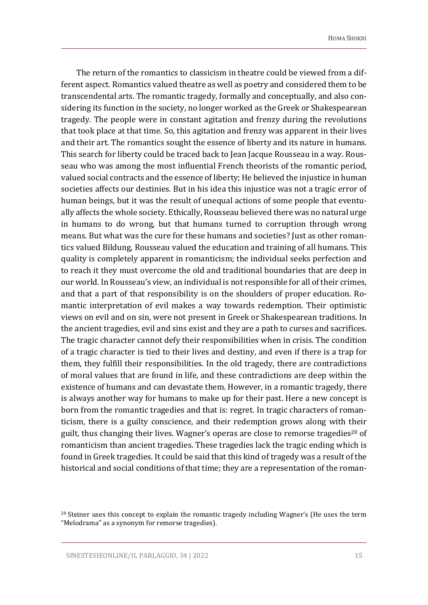The return of the romantics to classicism in theatre could be viewed from a different aspect. Romantics valued theatre as well as poetry and considered them to be transcendental arts. The romantic tragedy, formally and conceptually, and also considering its function in the society, no longer worked as the Greek or Shakespearean tragedy. The people were in constant agitation and frenzy during the revolutions that took place at that time. So, this agitation and frenzy was apparent in their lives and their art. The romantics sought the essence of liberty and its nature in humans. This search for liberty could be traced back to Jean Jacque Rousseau in a way. Rousseau who was among the most influential French theorists of the romantic period, valued social contracts and the essence of liberty; He believed the injustice in human societies affects our destinies. But in his idea this injustice was not a tragic error of human beings, but it was the result of unequal actions of some people that eventually affects the whole society. Ethically, Rousseau believed there was no natural urge in humans to do wrong, but that humans turned to corruption through wrong means. But what was the cure for these humans and societies? Just as other romantics valued Bildung, Rousseau valued the education and training of all humans. This quality is completely apparent in romanticism; the individual seeks perfection and to reach it they must overcome the old and traditional boundaries that are deep in our world. In Rousseau's view, an individual is not responsible for all of their crimes, and that a part of that responsibility is on the shoulders of proper education. Romantic interpretation of evil makes a way towards redemption. Their optimistic views on evil and on sin, were not present in Greek or Shakespearean traditions. In the ancient tragedies, evil and sins exist and they are a path to curses and sacrifices. The tragic character cannot defy their responsibilities when in crisis. The condition of a tragic character is tied to their lives and destiny, and even if there is a trap for them, they fulfill their responsibilities. In the old tragedy, there are contradictions of moral values that are found in life, and these contradictions are deep within the existence of humans and can devastate them. However, in a romantic tragedy, there is always another way for humans to make up for their past. Here a new concept is born from the romantic tragedies and that is: regret. In tragic characters of romanticism, there is a guilty conscience, and their redemption grows along with their guilt, thus changing their lives. Wagner's operas are close to remorse tragedies<sup>20</sup> of romanticism than ancient tragedies. These tragedies lack the tragic ending which is found in Greek tragedies. It could be said that this kind of tragedy was a result of the historical and social conditions of that time; they are a representation of the roman-

<sup>20</sup> Steiner uses this concept to explain the romantic tragedy including Wagner's (He uses the term "Melodrama" as a synonym for remorse tragedies).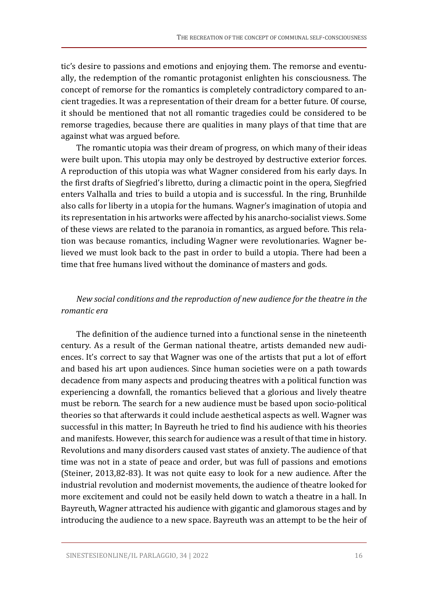tic's desire to passions and emotions and enjoying them. The remorse and eventually, the redemption of the romantic protagonist enlighten his consciousness. The concept of remorse for the romantics is completely contradictory compared to ancient tragedies. It was a representation of their dream for a better future. Of course, it should be mentioned that not all romantic tragedies could be considered to be remorse tragedies, because there are qualities in many plays of that time that are against what was argued before.

The romantic utopia was their dream of progress, on which many of their ideas were built upon. This utopia may only be destroyed by destructive exterior forces. A reproduction of this utopia was what Wagner considered from his early days. In the first drafts of Siegfried's libretto, during a climactic point in the opera, Siegfried enters Valhalla and tries to build a utopia and is successful. In the ring, Brunhilde also calls for liberty in a utopia for the humans. Wagner's imagination of utopia and its representation in his artworks were affected by his anarcho-socialist views. Some of these views are related to the paranoia in romantics, as argued before. This relation was because romantics, including Wagner were revolutionaries. Wagner believed we must look back to the past in order to build a utopia. There had been a time that free humans lived without the dominance of masters and gods.

# *New social conditions and the reproduction of new audience for the theatre in the romantic era*

The definition of the audience turned into a functional sense in the nineteenth century. As a result of the German national theatre, artists demanded new audiences. It's correct to say that Wagner was one of the artists that put a lot of effort and based his art upon audiences. Since human societies were on a path towards decadence from many aspects and producing theatres with a political function was experiencing a downfall, the romantics believed that a glorious and lively theatre must be reborn. The search for a new audience must be based upon socio-political theories so that afterwards it could include aesthetical aspects as well. Wagner was successful in this matter; In Bayreuth he tried to find his audience with his theories and manifests. However, this search for audience was a result of that time in history. Revolutions and many disorders caused vast states of anxiety. The audience of that time was not in a state of peace and order, but was full of passions and emotions (Steiner, 2013,82-83). It was not quite easy to look for a new audience. After the industrial revolution and modernist movements, the audience of theatre looked for more excitement and could not be easily held down to watch a theatre in a hall. In Bayreuth, Wagner attracted his audience with gigantic and glamorous stages and by introducing the audience to a new space. Bayreuth was an attempt to be the heir of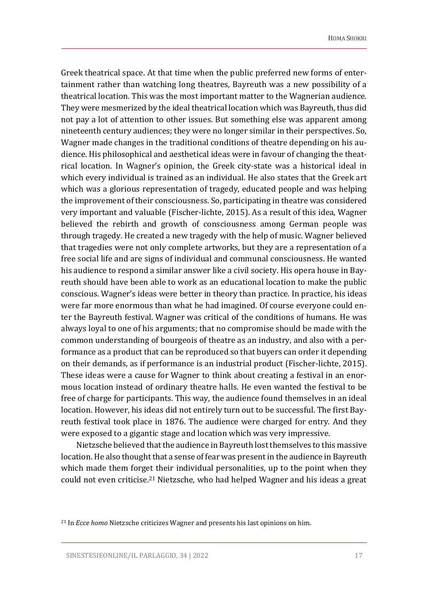Greek theatrical space. At that time when the public preferred new forms of entertainment rather than watching long theatres, Bayreuth was a new possibility of a theatrical location. This was the most important matter to the Wagnerian audience. They were mesmerized by the ideal theatrical location which was Bayreuth, thus did not pay a lot of attention to other issues. But something else was apparent among nineteenth century audiences; they were no longer similar in their perspectives. So, Wagner made changes in the traditional conditions of theatre depending on his audience. His philosophical and aesthetical ideas were in favour of changing the theatrical location. In Wagner's opinion, the Greek city-state was a historical ideal in which every individual is trained as an individual. He also states that the Greek art which was a glorious representation of tragedy, educated people and was helping the improvement of their consciousness. So, participating in theatre was considered very important and valuable (Fischer-lichte, 2015). As a result of this idea, Wagner believed the rebirth and growth of consciousness among German people was through tragedy. He created a new tragedy with the help of music. Wagner believed that tragedies were not only complete artworks, but they are a representation of a free social life and are signs of individual and communal consciousness. He wanted his audience to respond a similar answer like a civil society. His opera house in Bayreuth should have been able to work as an educational location to make the public conscious. Wagner's ideas were better in theory than practice. In practice, his ideas were far more enormous than what he had imagined. Of course everyone could enter the Bayreuth festival. Wagner was critical of the conditions of humans. He was always loyal to one of his arguments; that no compromise should be made with the common understanding of bourgeois of theatre as an industry, and also with a performance as a product that can be reproduced so that buyers can order it depending on their demands, as if performance is an industrial product (Fischer-lichte, 2015). These ideas were a cause for Wagner to think about creating a festival in an enormous location instead of ordinary theatre halls. He even wanted the festival to be free of charge for participants. This way, the audience found themselves in an ideal location. However, his ideas did not entirely turn out to be successful. The first Bayreuth festival took place in 1876. The audience were charged for entry. And they were exposed to a gigantic stage and location which was very impressive.

Nietzsche believed thatthe audience in Bayreuth lost themselves to this massive location. He also thought that a sense of fear was present in the audience in Bayreuth which made them forget their individual personalities, up to the point when they could not even criticise. <sup>21</sup> Nietzsche, who had helped Wagner and his ideas a great

<sup>21</sup> In *Ecce homo* Nietzsche criticizes Wagner and presents his last opinions on him.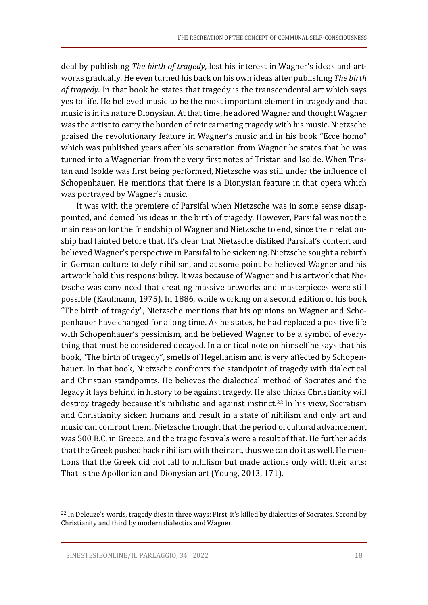deal by publishing *The birth of tragedy*, lost his interest in Wagner's ideas and artworks gradually. He even turned his back on his own ideas after publishing *The birth of tragedy*. In that book he states that tragedy is the transcendental art which says yes to life. He believed music to be the most important element in tragedy and that music is in its nature Dionysian. At that time, he adored Wagner and thought Wagner was the artist to carry the burden of reincarnating tragedy with his music. Nietzsche praised the revolutionary feature in Wagner's music and in his book "Ecce homo" which was published years after his separation from Wagner he states that he was turned into a Wagnerian from the very first notes of Tristan and Isolde. When Tristan and Isolde was first being performed, Nietzsche was still under the influence of Schopenhauer. He mentions that there is a Dionysian feature in that opera which was portrayed by Wagner's music.

It was with the premiere of Parsifal when Nietzsche was in some sense disappointed, and denied his ideas in the birth of tragedy. However, Parsifal was not the main reason for the friendship of Wagner and Nietzsche to end, since their relationship had fainted before that. It's clear that Nietzsche disliked Parsifal's content and believed Wagner's perspective in Parsifal to be sickening. Nietzsche sought a rebirth in German culture to defy nihilism, and at some point he believed Wagner and his artwork hold this responsibility. It was because of Wagner and his artwork that Nietzsche was convinced that creating massive artworks and masterpieces were still possible (Kaufmann, 1975). In 1886, while working on a second edition of his book "The birth of tragedy", Nietzsche mentions that his opinions on Wagner and Schopenhauer have changed for a long time. As he states, he had replaced a positive life with Schopenhauer's pessimism, and he believed Wagner to be a symbol of everything that must be considered decayed. In a critical note on himself he says that his book, "The birth of tragedy", smells of Hegelianism and is very affected by Schopenhauer. In that book, Nietzsche confronts the standpoint of tragedy with dialectical and Christian standpoints. He believes the dialectical method of Socrates and the legacy it lays behind in history to be against tragedy. He also thinks Christianity will destroy tragedy because it's nihilistic and against instinct. <sup>22</sup> In his view, Socratism and Christianity sicken humans and result in a state of nihilism and only art and music can confront them. Nietzsche thought that the period of cultural advancement was 500 B.C. in Greece, and the tragic festivals were a result of that. He further adds that the Greek pushed back nihilism with their art, thus we can do it as well. He mentions that the Greek did not fall to nihilism but made actions only with their arts: That is the Apollonian and Dionysian art (Young, 2013, 171).

<sup>&</sup>lt;sup>22</sup> In Deleuze's words, tragedy dies in three ways: First, it's killed by dialectics of Socrates. Second by Christianity and third by modern dialectics and Wagner.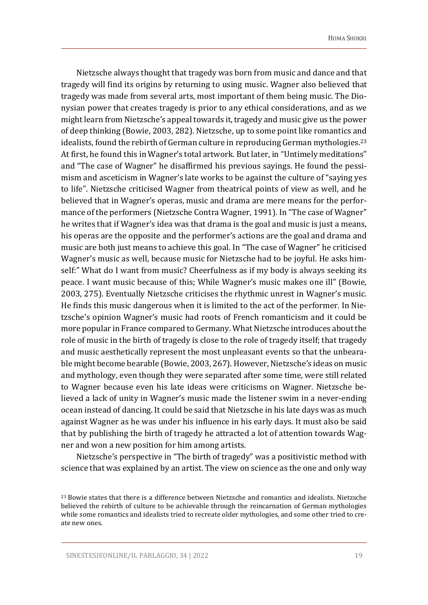Nietzsche always thought that tragedy was born from music and dance and that tragedy will find its origins by returning to using music. Wagner also believed that tragedy was made from several arts, most important of them being music. The Dionysian power that creates tragedy is prior to any ethical considerations, and as we might learn from Nietzsche's appeal towards it, tragedy and music give us the power of deep thinking (Bowie, 2003, 282). Nietzsche, up to some point like romantics and idealists, found the rebirth of German culture in reproducing German mythologies.<sup>23</sup> At first, he found this in Wagner's total artwork. But later, in "Untimely meditations" and "The case of Wagner" he disaffirmed his previous sayings. He found the pessimism and asceticism in Wagner's late works to be against the culture of "saying yes to life". Nietzsche criticised Wagner from theatrical points of view as well, and he believed that in Wagner's operas, music and drama are mere means for the performance of the performers (Nietzsche Contra Wagner, 1991). In "The case of Wagner" he writes that if Wagner's idea was that drama is the goal and music is just a means, his operas are the opposite and the performer's actions are the goal and drama and music are both just means to achieve this goal. In "The case of Wagner" he criticised Wagner's music as well, because music for Nietzsche had to be joyful. He asks himself:" What do I want from music? Cheerfulness as if my body is always seeking its peace. I want music because of this; While Wagner's music makes one ill" (Bowie, 2003, 275). Eventually Nietzsche criticises the rhythmic unrest in Wagner's music. He finds this music dangerous when it is limited to the act of the performer. In Nietzsche's opinion Wagner's music had roots of French romanticism and it could be more popular in France compared to Germany. What Nietzsche introduces about the role of music in the birth of tragedy is close to the role of tragedy itself; that tragedy and music aesthetically represent the most unpleasant events so that the unbearable might become bearable (Bowie, 2003, 267). However, Nietzsche's ideas on music and mythology, even though they were separated after some time, were still related to Wagner because even his late ideas were criticisms on Wagner. Nietzsche believed a lack of unity in Wagner's music made the listener swim in a never-ending ocean instead of dancing. It could be said that Nietzsche in his late days was as much against Wagner as he was under his influence in his early days. It must also be said that by publishing the birth of tragedy he attracted a lot of attention towards Wagner and won a new position for him among artists.

Nietzsche's perspective in "The birth of tragedy" was a positivistic method with science that was explained by an artist. The view on science as the one and only way

<sup>&</sup>lt;sup>23</sup> Bowie states that there is a difference between Nietzsche and romantics and idealists. Nietzsche believed the rebirth of culture to be achievable through the reincarnation of German mythologies while some romantics and idealists tried to recreate older mythologies, and some other tried to create new ones.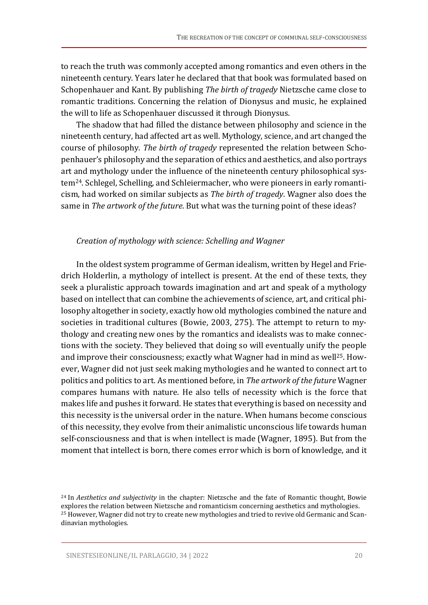to reach the truth was commonly accepted among romantics and even others in the nineteenth century. Years later he declared that that book was formulated based on Schopenhauer and Kant. By publishing *The birth of tragedy* Nietzsche came close to romantic traditions. Concerning the relation of Dionysus and music, he explained the will to life as Schopenhauer discussed it through Dionysus.

The shadow that had filled the distance between philosophy and science in the nineteenth century, had affected art as well. Mythology, science, and art changed the course of philosophy. *The birth of tragedy* represented the relation between Schopenhauer's philosophy and the separation of ethics and aesthetics, and also portrays art and mythology under the influence of the nineteenth century philosophical system24. Schlegel, Schelling, and Schleiermacher, who were pioneers in early romanticism, had worked on similar subjects as *The birth of tragedy*. Wagner also does the same in *The artwork of the future*. But what was the turning point of these ideas?

#### *Creation of mythology with science: Schelling and Wagner*

In the oldest system programme of German idealism, written by Hegel and Friedrich Holderlin, a mythology of intellect is present. At the end of these texts, they seek a pluralistic approach towards imagination and art and speak of a mythology based on intellect that can combine the achievements of science, art, and critical philosophy altogether in society, exactly how old mythologies combined the nature and societies in traditional cultures (Bowie, 2003, 275). The attempt to return to mythology and creating new ones by the romantics and idealists was to make connections with the society. They believed that doing so will eventually unify the people and improve their consciousness; exactly what Wagner had in mind as well<sup>25</sup>. However, Wagner did not just seek making mythologies and he wanted to connect art to politics and politics to art. As mentioned before, in *The artwork of the future* Wagner compares humans with nature. He also tells of necessity which is the force that makes life and pushes it forward. He states that everything is based on necessity and this necessity is the universal order in the nature. When humans become conscious of this necessity, they evolve from their animalistic unconscious life towards human self-consciousness and that is when intellect is made (Wagner, 1895). But from the moment that intellect is born, there comes error which is born of knowledge, and it

<sup>24</sup> In *Aesthetics and subjectivity* in the chapter: Nietzsche and the fate of Romantic thought, Bowie explores the relation between Nietzsche and romanticism concerning aesthetics and mythologies. <sup>25</sup> However, Wagner did not try to create new mythologies and tried to revive old Germanic and Scandinavian mythologies.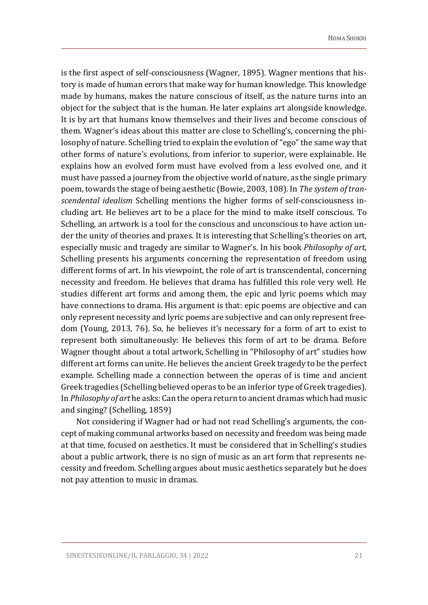is the first aspect of self-consciousness (Wagner, 1895). Wagner mentions that history is made of human errors that make way for human knowledge. This knowledge made by humans, makes the nature conscious of itself, as the nature turns into an object for the subject that is the human. He later explains art alongside knowledge. It is by art that humans know themselves and their lives and become conscious of them. Wagner's ideas about this matter are close to Schelling's, concerning the philosophy of nature. Schelling tried to explain the evolution of "ego" the same way that other forms of nature's evolutions, from inferior to superior, were explainable. He explains how an evolved form must have evolved from a less evolved one, and it must have passed a journey from the objective world of nature, as the single primary poem, towards the stage of being aesthetic (Bowie, 2003, 108). In *The system oftranscendental idealism* Schelling mentions the higher forms of self-consciousness including art. He believes art to be a place for the mind to make itself conscious. To Schelling, an artwork is a tool for the conscious and unconscious to have action under the unity of theories and praxes. It is interesting that Schelling's theories on art, especially music and tragedy are similar to Wagner's. In his book *Philosophy of art*, Schelling presents his arguments concerning the representation of freedom using different forms of art. In his viewpoint, the role of art is transcendental, concerning necessity and freedom. He believes that drama has fulfilled this role very well. He studies different art forms and among them, the epic and lyric poems which may have connections to drama. His argument is that: epic poems are objective and can only represent necessity and lyric poems are subjective and can only represent freedom (Young, 2013, 76). So, he believes it's necessary for a form of art to exist to represent both simultaneously: He believes this form of art to be drama. Before Wagner thought about a total artwork, Schelling in "Philosophy of art" studies how different art forms can unite. He believes the ancient Greek tragedy to be the perfect example. Schelling made a connection between the operas of is time and ancient Greek tragedies (Schelling believed operas to be an inferior type of Greek tragedies). In *Philosophy of art* he asks: Can the opera return to ancient dramas which had music and singing? (Schelling, 1859)

Not considering if Wagner had or had not read Schelling's arguments, the concept of making communal artworks based on necessity and freedom was being made at that time, focused on aesthetics. It must be considered that in Schelling's studies about a public artwork, there is no sign of music as an art form that represents necessity and freedom. Schelling argues about music aesthetics separately but he does not pay attention to music in dramas.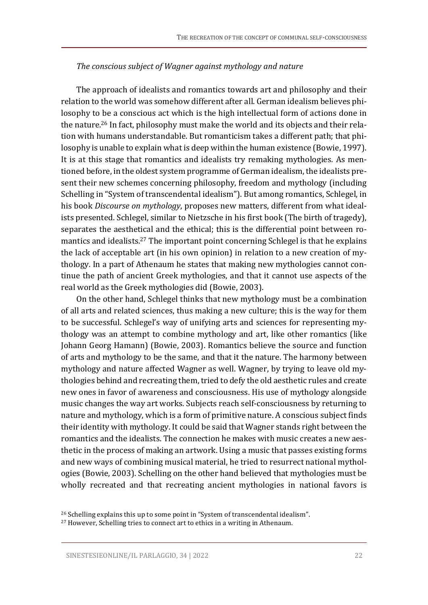#### *The conscious subject of Wagner against mythology and nature*

The approach of idealists and romantics towards art and philosophy and their relation to the world was somehow different after all. German idealism believes philosophy to be a conscious act which is the high intellectual form of actions done in the nature. <sup>26</sup> In fact, philosophy must make the world and its objects and their relation with humans understandable. But romanticism takes a different path; that philosophy is unable to explain what is deep within the human existence (Bowie, 1997). It is at this stage that romantics and idealists try remaking mythologies. As mentioned before, in the oldest system programme of German idealism, the idealists present their new schemes concerning philosophy, freedom and mythology (including Schelling in "System of transcendental idealism"). But among romantics, Schlegel, in his book *Discourse on mythology*, proposes new matters, different from what idealists presented. Schlegel, similar to Nietzsche in his first book (The birth of tragedy), separates the aesthetical and the ethical; this is the differential point between romantics and idealists. <sup>27</sup> The important point concerning Schlegel is that he explains the lack of acceptable art (in his own opinion) in relation to a new creation of mythology. In a part of Athenaum he states that making new mythologies cannot continue the path of ancient Greek mythologies, and that it cannot use aspects of the real world as the Greek mythologies did (Bowie, 2003).

On the other hand, Schlegel thinks that new mythology must be a combination of all arts and related sciences, thus making a new culture; this is the way for them to be successful. Schlegel's way of unifying arts and sciences for representing mythology was an attempt to combine mythology and art, like other romantics (like Johann Georg Hamann) (Bowie, 2003). Romantics believe the source and function of arts and mythology to be the same, and that it the nature. The harmony between mythology and nature affected Wagner as well. Wagner, by trying to leave old mythologies behind and recreating them, tried to defy the old aesthetic rules and create new ones in favor of awareness and consciousness. His use of mythology alongside music changes the way art works. Subjects reach self-consciousness by returning to nature and mythology, which is a form of primitive nature. A conscious subject finds their identity with mythology. It could be said that Wagner stands right between the romantics and the idealists. The connection he makes with music creates a new aesthetic in the process of making an artwork. Using a music that passes existing forms and new ways of combining musical material, he tried to resurrect national mythologies (Bowie, 2003). Schelling on the other hand believed that mythologies must be wholly recreated and that recreating ancient mythologies in national favors is

<sup>26</sup> Schelling explains this up to some point in "System of transcendental idealism".

<sup>&</sup>lt;sup>27</sup> However, Schelling tries to connect art to ethics in a writing in Athenaum.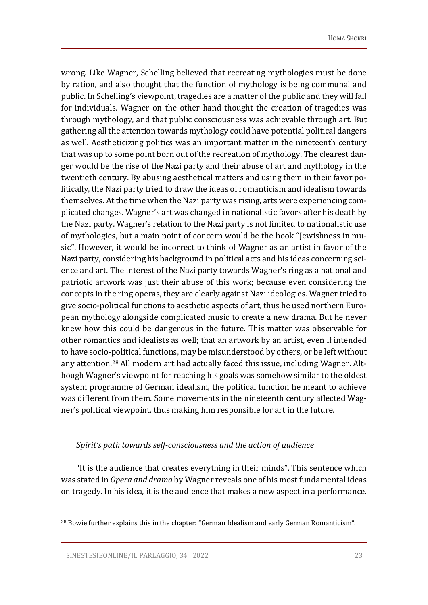wrong. Like Wagner, Schelling believed that recreating mythologies must be done by ration, and also thought that the function of mythology is being communal and public. In Schelling's viewpoint, tragedies are a matter of the public and they will fail for individuals. Wagner on the other hand thought the creation of tragedies was through mythology, and that public consciousness was achievable through art. But gathering all the attention towards mythology could have potential political dangers as well. Aestheticizing politics was an important matter in the nineteenth century that was up to some point born out of the recreation of mythology. The clearest danger would be the rise of the Nazi party and their abuse of art and mythology in the twentieth century. By abusing aesthetical matters and using them in their favor politically, the Nazi party tried to draw the ideas of romanticism and idealism towards themselves. At the time when the Nazi party was rising, arts were experiencing complicated changes. Wagner's art was changed in nationalistic favors after his death by the Nazi party. Wagner's relation to the Nazi party is not limited to nationalistic use of mythologies, but a main point of concern would be the book "Jewishness in music". However, it would be incorrect to think of Wagner as an artist in favor of the Nazi party, considering his background in political acts and his ideas concerning science and art. The interest of the Nazi party towards Wagner's ring as a national and patriotic artwork was just their abuse of this work; because even considering the concepts in the ring operas, they are clearly against Nazi ideologies. Wagner tried to give socio-political functions to aesthetic aspects of art, thus he used northern European mythology alongside complicated music to create a new drama. But he never knew how this could be dangerous in the future. This matter was observable for other romantics and idealists as well; that an artwork by an artist, even if intended to have socio-political functions, may be misunderstood by others, or be left without any attention. <sup>28</sup> All modern art had actually faced this issue, including Wagner. Although Wagner's viewpoint for reaching his goals was somehow similar to the oldest system programme of German idealism, the political function he meant to achieve was different from them. Some movements in the nineteenth century affected Wagner's political viewpoint, thus making him responsible for art in the future.

#### *Spirit's path towards self-consciousness and the action of audience*

"It is the audience that creates everything in their minds". This sentence which was stated in *Opera and drama* by Wagner reveals one of his most fundamental ideas on tragedy. In his idea, it is the audience that makes a new aspect in a performance.

 $^{28}$  Bowie further explains this in the chapter: "German Idealism and early German Romanticism".

SINESTESIEONLINE/IL PARLAGGIO, 34 | 2022 23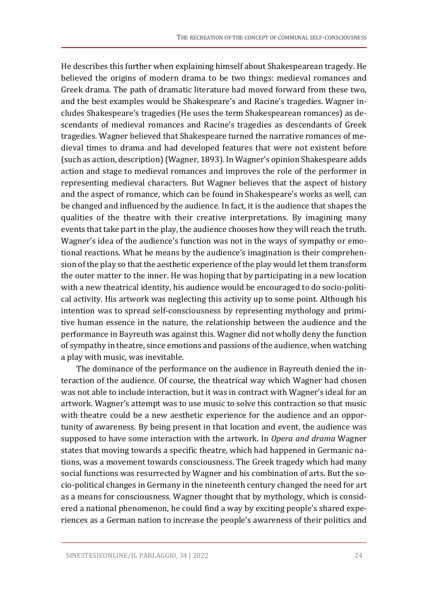He describes this further when explaining himself about Shakespearean tragedy. He believed the origins of modern drama to be two things: medieval romances and Greek drama. The path of dramatic literature had moved forward from these two, and the best examples would be Shakespeare's and Racine's tragedies. Wagner includes Shakespeare's tragedies (He uses the term Shakespearean romances) as descendants of medieval romances and Racine's tragedies as descendants of Greek tragedies. Wagner believed that Shakespeare turned the narrative romances of medieval times to drama and had developed features that were not existent before (such as action, description)(Wagner, 1893). In Wagner's opinion Shakespeare adds action and stage to medieval romances and improves the role of the performer in representing medieval characters. But Wagner believes that the aspect of history and the aspect of romance, which can be found in Shakespeare's works as well, can be changed and influenced by the audience. In fact, it is the audience that shapes the qualities of the theatre with their creative interpretations. By imagining many events that take part in the play, the audience chooses how they will reach the truth. Wagner's idea of the audience's function was not in the ways of sympathy or emotional reactions. What he means by the audience's imagination is their comprehension of the play so that the aesthetic experience of the play would let them transform the outer matter to the inner. He was hoping that by participating in a new location with a new theatrical identity, his audience would be encouraged to do socio-political activity. His artwork was neglecting this activity up to some point. Although his intention was to spread self-consciousness by representing mythology and primitive human essence in the nature, the relationship between the audience and the performance in Bayreuth was against this. Wagner did not wholly deny the function of sympathy in theatre, since emotions and passions of the audience, when watching a play with music, was inevitable.

The dominance of the performance on the audience in Bayreuth denied the interaction of the audience. Of course, the theatrical way which Wagner had chosen was not able to include interaction, but it was in contract with Wagner's ideal for an artwork. Wagner's attempt was to use music to solve this contraction so that music with theatre could be a new aesthetic experience for the audience and an opportunity of awareness. By being present in that location and event, the audience was supposed to have some interaction with the artwork. In *Opera and drama* Wagner states that moving towards a specific theatre, which had happened in Germanic nations, was a movement towards consciousness. The Greek tragedy which had many social functions was resurrected by Wagner and his combination of arts. But the socio-political changes in Germany in the nineteenth century changed the need for art as a means for consciousness. Wagner thought that by mythology, which is considered a national phenomenon, he could find a way by exciting people's shared experiences as a German nation to increase the people's awareness of their politics and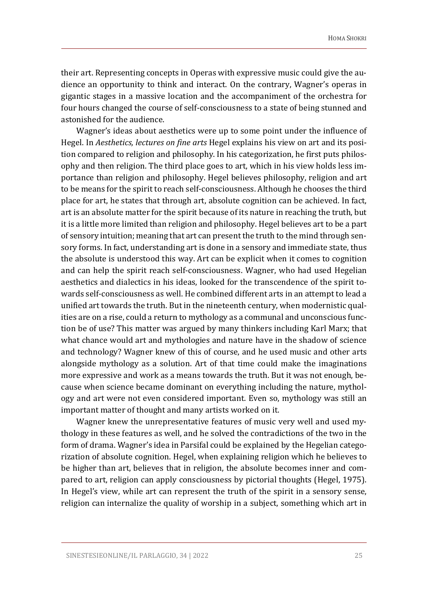their art. Representing concepts in Operas with expressive music could give the audience an opportunity to think and interact. On the contrary, Wagner's operas in gigantic stages in a massive location and the accompaniment of the orchestra for four hours changed the course of self-consciousness to a state of being stunned and astonished for the audience.

Wagner's ideas about aesthetics were up to some point under the influence of Hegel. In *Aesthetics, lectures on fine arts* Hegel explains his view on art and its position compared to religion and philosophy. In his categorization, he first puts philosophy and then religion. The third place goes to art, which in his view holds less importance than religion and philosophy. Hegel believes philosophy, religion and art to be means for the spirit to reach self-consciousness. Although he chooses the third place for art, he states that through art, absolute cognition can be achieved. In fact, art is an absolute matter for the spirit because of its nature in reaching the truth, but it is a little more limited than religion and philosophy. Hegel believes art to be a part of sensory intuition; meaning that art can present the truth to the mind through sensory forms. In fact, understanding art is done in a sensory and immediate state, thus the absolute is understood this way. Art can be explicit when it comes to cognition and can help the spirit reach self-consciousness. Wagner, who had used Hegelian aesthetics and dialectics in his ideas, looked for the transcendence of the spirit towards self-consciousness as well. He combined different arts in an attempt to lead a unified art towards the truth. But in the nineteenth century, when modernistic qualities are on a rise, could a return to mythology as a communal and unconscious function be of use? This matter was argued by many thinkers including Karl Marx; that what chance would art and mythologies and nature have in the shadow of science and technology? Wagner knew of this of course, and he used music and other arts alongside mythology as a solution. Art of that time could make the imaginations more expressive and work as a means towards the truth. But it was not enough, because when science became dominant on everything including the nature, mythology and art were not even considered important. Even so, mythology was still an important matter of thought and many artists worked on it.

Wagner knew the unrepresentative features of music very well and used mythology in these features as well, and he solved the contradictions of the two in the form of drama. Wagner's idea in Parsifal could be explained by the Hegelian categorization of absolute cognition. Hegel, when explaining religion which he believes to be higher than art, believes that in religion, the absolute becomes inner and compared to art, religion can apply consciousness by pictorial thoughts (Hegel, 1975). In Hegel's view, while art can represent the truth of the spirit in a sensory sense, religion can internalize the quality of worship in a subject, something which art in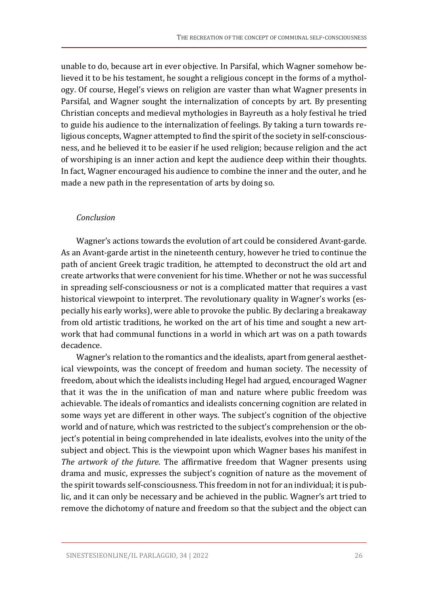unable to do, because art in ever objective. In Parsifal, which Wagner somehow believed it to be his testament, he sought a religious concept in the forms of a mythology. Of course, Hegel's views on religion are vaster than what Wagner presents in Parsifal, and Wagner sought the internalization of concepts by art. By presenting Christian concepts and medieval mythologies in Bayreuth as a holy festival he tried to guide his audience to the internalization of feelings. By taking a turn towards religious concepts, Wagner attempted to find the spirit of the society in self-consciousness, and he believed it to be easier if he used religion; because religion and the act of worshiping is an inner action and kept the audience deep within their thoughts. In fact, Wagner encouraged his audience to combine the inner and the outer, and he made a new path in the representation of arts by doing so.

#### *Conclusion*

Wagner's actions towards the evolution of art could be considered Avant-garde. As an Avant-garde artist in the nineteenth century, however he tried to continue the path of ancient Greek tragic tradition, he attempted to deconstruct the old art and create artworks that were convenient for his time. Whether or not he was successful in spreading self-consciousness or not is a complicated matter that requires a vast historical viewpoint to interpret. The revolutionary quality in Wagner's works (especially his early works), were able to provoke the public. By declaring a breakaway from old artistic traditions, he worked on the art of his time and sought a new artwork that had communal functions in a world in which art was on a path towards decadence.

Wagner's relation to the romantics and the idealists, apart from general aesthetical viewpoints, was the concept of freedom and human society. The necessity of freedom, about which the idealists including Hegel had argued, encouraged Wagner that it was the in the unification of man and nature where public freedom was achievable. The ideals of romantics and idealists concerning cognition are related in some ways yet are different in other ways. The subject's cognition of the objective world and of nature, which was restricted to the subject's comprehension or the object's potential in being comprehended in late idealists, evolves into the unity of the subject and object. This is the viewpoint upon which Wagner bases his manifest in *The artwork of the future*. The affirmative freedom that Wagner presents using drama and music, expresses the subject's cognition of nature as the movement of the spirit towards self-consciousness. This freedom in not for an individual; it is public, and it can only be necessary and be achieved in the public. Wagner's art tried to remove the dichotomy of nature and freedom so that the subject and the object can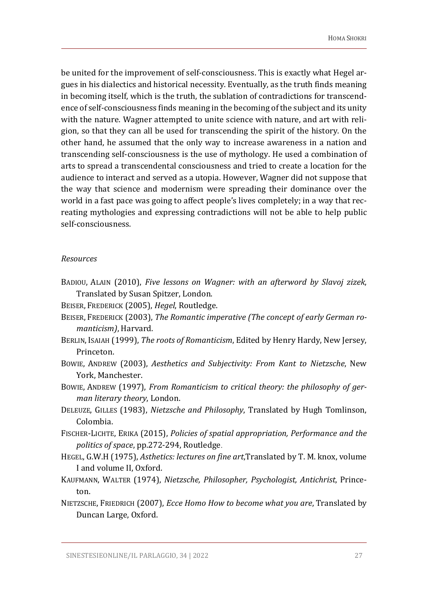be united for the improvement of self-consciousness. This is exactly what Hegel argues in his dialectics and historical necessity. Eventually, as the truth finds meaning in becoming itself, which is the truth, the sublation of contradictions for transcendence of self-consciousness finds meaning in the becoming of the subject and its unity with the nature. Wagner attempted to unite science with nature, and art with religion, so that they can all be used for transcending the spirit of the history. On the other hand, he assumed that the only way to increase awareness in a nation and transcending self-consciousness is the use of mythology. He used a combination of arts to spread a transcendental consciousness and tried to create a location for the audience to interact and served as a utopia. However, Wagner did not suppose that the way that science and modernism were spreading their dominance over the world in a fast pace was going to affect people's lives completely; in a way that recreating mythologies and expressing contradictions will not be able to help public self-consciousness.

#### *Resources*

- BADIOU, ALAIN (2010), *Five lessons on Wagner: with an afterword by Slavoj zizek*, Translated by Susan Spitzer, London.
- BEISER, FREDERICK (2005), *Hegel*, Routledge.
- BEISER, FREDERICK (2003), *The Romantic imperative (The concept of early German romanticism)*, Harvard.
- BERLIN, ISAIAH (1999), *The roots of Romanticism*, Edited by Henry Hardy, New Jersey, Princeton.
- BOWIE, ANDREW (2003), *Aesthetics and Subjectivity: From Kant to Nietzsche*, New York, Manchester.
- BOWIE, ANDREW (1997), *From Romanticism to critical theory: the philosophy of german literary theory*, London.
- DELEUZE, GILLES (1983), *Nietzsche and Philosophy*, Translated by Hugh Tomlinson, Colombia.
- FISCHER-LICHTE, ERIKA (2015), *Policies of spatial appropriation, Performance and the politics of space*, pp.272-294, Routledge .
- HEGEL, G.W.H (1975), *Asthetics: lectures on fine art*,Translated by T. M. knox, volume I and volume II, Oxford.
- KAUFMANN, WALTER (1974), *Nietzsche, Philosopher, Psychologist, Antichrist*, Princeton.
- NIETZSCHE, FRIEDRICH (2007), *Ecce Homo How to become what you are*, Translated by Duncan Large, Oxford.